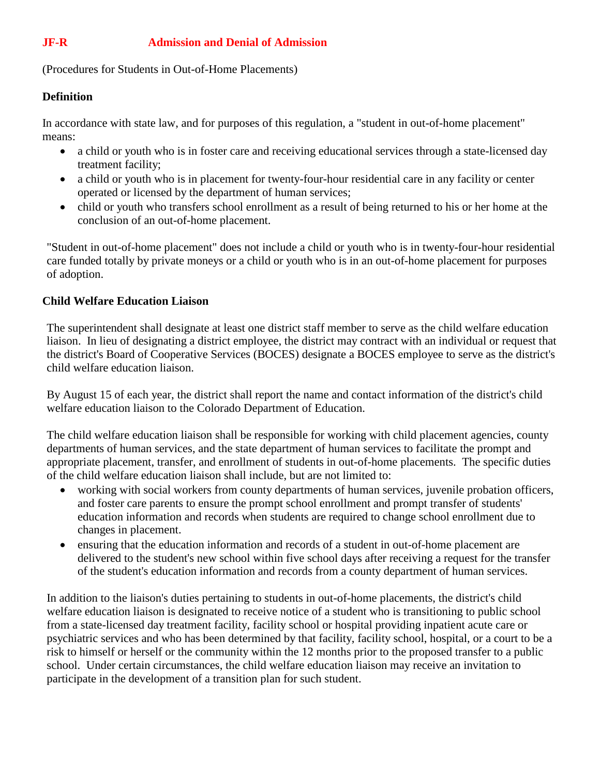# **JF-R Admission and Denial of Admission**

(Procedures for Students in Out-of-Home Placements)

## **Definition**

In accordance with state law, and for purposes of this regulation, a "student in out-of-home placement" means:

- a child or youth who is in foster care and receiving educational services through a state-licensed day treatment facility;
- a child or youth who is in placement for twenty-four-hour residential care in any facility or center operated or licensed by the department of human services;
- child or youth who transfers school enrollment as a result of being returned to his or her home at the conclusion of an out-of-home placement.

"Student in out-of-home placement" does not include a child or youth who is in twenty-four-hour residential care funded totally by private moneys or a child or youth who is in an out-of-home placement for purposes of adoption.

## **Child Welfare Education Liaison**

The superintendent shall designate at least one district staff member to serve as the child welfare education liaison. In lieu of designating a district employee, the district may contract with an individual or request that the district's Board of Cooperative Services (BOCES) designate a BOCES employee to serve as the district's child welfare education liaison.

By August 15 of each year, the district shall report the name and contact information of the district's child welfare education liaison to the Colorado Department of Education.

The child welfare education liaison shall be responsible for working with child placement agencies, county departments of human services, and the state department of human services to facilitate the prompt and appropriate placement, transfer, and enrollment of students in out-of-home placements. The specific duties of the child welfare education liaison shall include, but are not limited to:

- working with social workers from county departments of human services, juvenile probation officers, and foster care parents to ensure the prompt school enrollment and prompt transfer of students' education information and records when students are required to change school enrollment due to changes in placement.
- ensuring that the education information and records of a student in out-of-home placement are delivered to the student's new school within five school days after receiving a request for the transfer of the student's education information and records from a county department of human services.

In addition to the liaison's duties pertaining to students in out-of-home placements, the district's child welfare education liaison is designated to receive notice of a student who is transitioning to public school from a state-licensed day treatment facility, facility school or hospital providing inpatient acute care or psychiatric services and who has been determined by that facility, facility school, hospital, or a court to be a risk to himself or herself or the community within the 12 months prior to the proposed transfer to a public school. Under certain circumstances, the child welfare education liaison may receive an invitation to participate in the development of a transition plan for such student.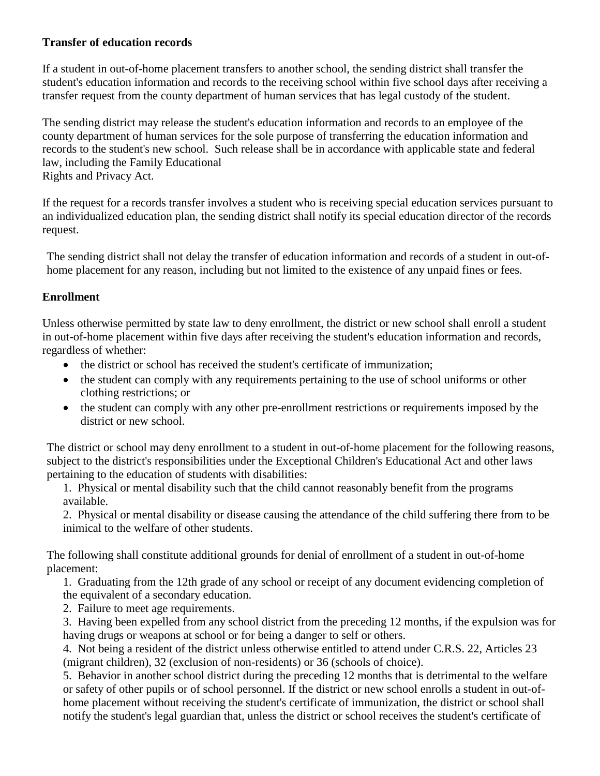## **Transfer of education records**

If a student in out-of-home placement transfers to another school, the sending district shall transfer the student's education information and records to the receiving school within five school days after receiving a transfer request from the county department of human services that has legal custody of the student.

The sending district may release the student's education information and records to an employee of the county department of human services for the sole purpose of transferring the education information and records to the student's new school. Such release shall be in accordance with applicable state and federal law, including the Family Educational Rights and Privacy Act.

If the request for a records transfer involves a student who is receiving special education services pursuant to an individualized education plan, the sending district shall notify its special education director of the records request.

The sending district shall not delay the transfer of education information and records of a student in out-ofhome placement for any reason, including but not limited to the existence of any unpaid fines or fees.

## **Enrollment**

Unless otherwise permitted by state law to deny enrollment, the district or new school shall enroll a student in out-of-home placement within five days after receiving the student's education information and records, regardless of whether:

- the district or school has received the student's certificate of immunization;
- the student can comply with any requirements pertaining to the use of school uniforms or other clothing restrictions; or
- the student can comply with any other pre-enrollment restrictions or requirements imposed by the district or new school.

The district or school may deny enrollment to a student in out-of-home placement for the following reasons, subject to the district's responsibilities under the Exceptional Children's Educational Act and other laws pertaining to the education of students with disabilities:

1. Physical or mental disability such that the child cannot reasonably benefit from the programs available.

2. Physical or mental disability or disease causing the attendance of the child suffering there from to be inimical to the welfare of other students.

The following shall constitute additional grounds for denial of enrollment of a student in out-of-home placement:

1. Graduating from the 12th grade of any school or receipt of any document evidencing completion of the equivalent of a secondary education.

2. Failure to meet age requirements.

3. Having been expelled from any school district from the preceding 12 months, if the expulsion was for having drugs or weapons at school or for being a danger to self or others.

4. Not being a resident of the district unless otherwise entitled to attend under C.R.S. 22, Articles 23 (migrant children), 32 (exclusion of non-residents) or 36 (schools of choice).

5. Behavior in another school district during the preceding 12 months that is detrimental to the welfare or safety of other pupils or of school personnel. If the district or new school enrolls a student in out-ofhome placement without receiving the student's certificate of immunization, the district or school shall notify the student's legal guardian that, unless the district or school receives the student's certificate of